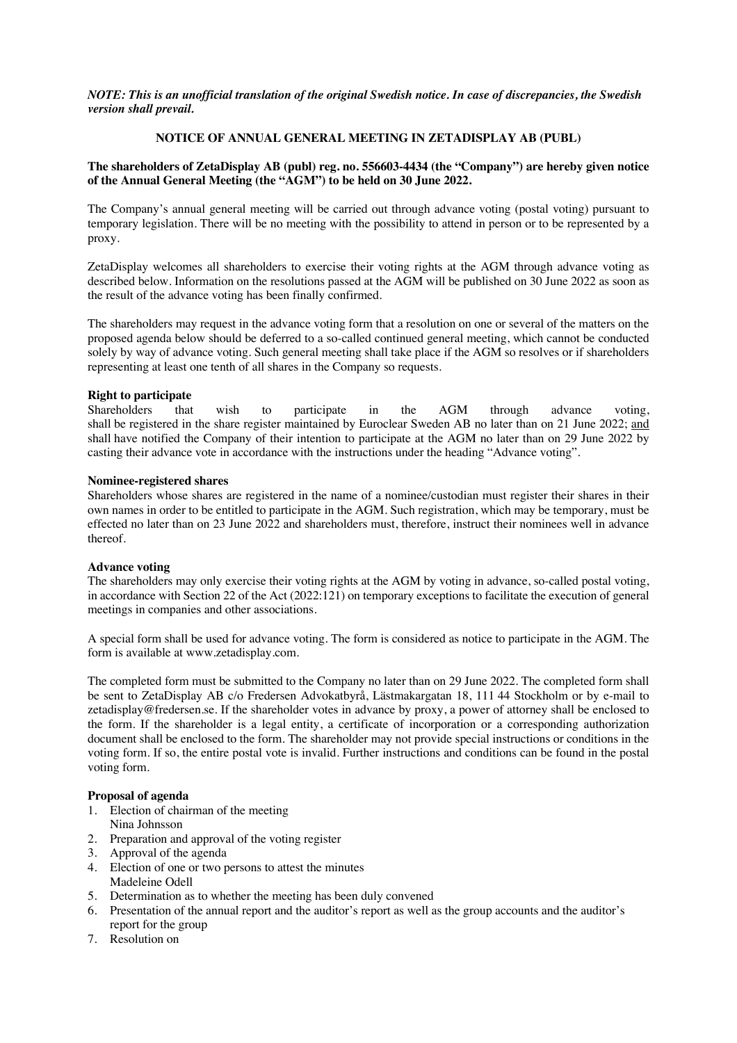*NOTE: This is an unofficial translation of the original Swedish notice. In case of discrepancies, the Swedish version shall prevail.*

### **NOTICE OF ANNUAL GENERAL MEETING IN ZETADISPLAY AB (PUBL)**

#### **The shareholders of ZetaDisplay AB (publ) reg. no. 556603-4434 (the "Company") are hereby given notice of the Annual General Meeting (the "AGM") to be held on 30 June 2022.**

The Company's annual general meeting will be carried out through advance voting (postal voting) pursuant to temporary legislation. There will be no meeting with the possibility to attend in person or to be represented by a proxy.

ZetaDisplay welcomes all shareholders to exercise their voting rights at the AGM through advance voting as described below. Information on the resolutions passed at the AGM will be published on 30 June 2022 as soon as the result of the advance voting has been finally confirmed.

The shareholders may request in the advance voting form that a resolution on one or several of the matters on the proposed agenda below should be deferred to a so-called continued general meeting, which cannot be conducted solely by way of advance voting. Such general meeting shall take place if the AGM so resolves or if shareholders representing at least one tenth of all shares in the Company so requests.

#### **Right to participate**

Shareholders that wish to participate in the AGM through advance voting, shall be registered in the share register maintained by Euroclear Sweden AB no later than on 21 June 2022; and shall have notified the Company of their intention to participate at the AGM no later than on 29 June 2022 by casting their advance vote in accordance with the instructions under the heading "Advance voting".

### **Nominee-registered shares**

Shareholders whose shares are registered in the name of a nominee/custodian must register their shares in their own names in order to be entitled to participate in the AGM. Such registration, which may be temporary, must be effected no later than on 23 June 2022 and shareholders must, therefore, instruct their nominees well in advance thereof.

# **Advance voting**

The shareholders may only exercise their voting rights at the AGM by voting in advance, so-called postal voting, in accordance with Section 22 of the Act (2022:121) on temporary exceptions to facilitate the execution of general meetings in companies and other associations.

A special form shall be used for advance voting. The form is considered as notice to participate in the AGM. The form is available at www.zetadisplay.com.

The completed form must be submitted to the Company no later than on 29 June 2022. The completed form shall be sent to ZetaDisplay AB c/o Fredersen Advokatbyrå, Lästmakargatan 18, 111 44 Stockholm or by e-mail to zetadisplay@fredersen.se. If the shareholder votes in advance by proxy, a power of attorney shall be enclosed to the form. If the shareholder is a legal entity, a certificate of incorporation or a corresponding authorization document shall be enclosed to the form. The shareholder may not provide special instructions or conditions in the voting form. If so, the entire postal vote is invalid. Further instructions and conditions can be found in the postal voting form.

#### **Proposal of agenda**

- 1. Election of chairman of the meeting
- Nina Johnsson
- 2. Preparation and approval of the voting register
- 3. Approval of the agenda
- 4. Election of one or two persons to attest the minutes Madeleine Odell
- 5. Determination as to whether the meeting has been duly convened
- 6. Presentation of the annual report and the auditor's report as well as the group accounts and the auditor's report for the group
- 7. Resolution on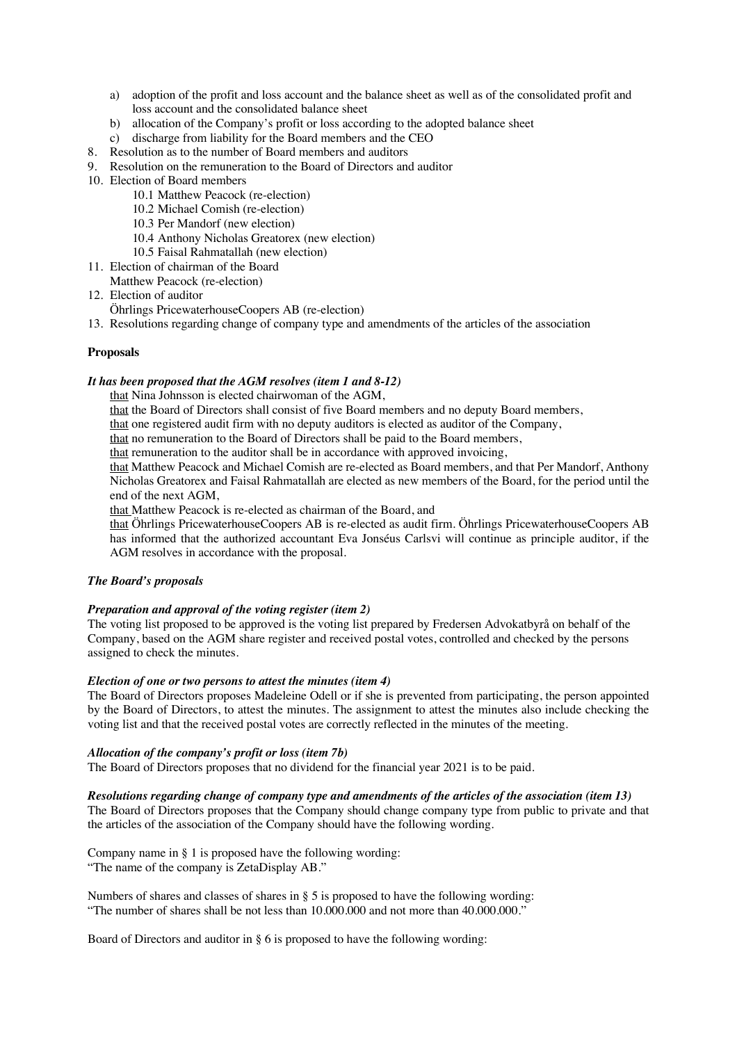- a) adoption of the profit and loss account and the balance sheet as well as of the consolidated profit and loss account and the consolidated balance sheet
- b) allocation of the Company's profit or loss according to the adopted balance sheet
- c) discharge from liability for the Board members and the CEO
- 8. Resolution as to the number of Board members and auditors
- 9. Resolution on the remuneration to the Board of Directors and auditor
- 10. Election of Board members
	- 10.1 Matthew Peacock (re-election)
	- 10.2 Michael Comish (re-election)
	- 10.3 Per Mandorf (new election)
	- 10.4 Anthony Nicholas Greatorex (new election)
	- 10.5 Faisal Rahmatallah (new election)
- 11. Election of chairman of the Board Matthew Peacock (re-election)
- 12. Election of auditor

Öhrlings PricewaterhouseCoopers AB (re-election)

13. Resolutions regarding change of company type and amendments of the articles of the association

# **Proposals**

#### *It has been proposed that the AGM resolves (item 1 and 8-12)*

that Nina Johnsson is elected chairwoman of the AGM,

that the Board of Directors shall consist of five Board members and no deputy Board members,

that one registered audit firm with no deputy auditors is elected as auditor of the Company,

that no remuneration to the Board of Directors shall be paid to the Board members,

that remuneration to the auditor shall be in accordance with approved invoicing,

that Matthew Peacock and Michael Comish are re-elected as Board members, and that Per Mandorf, Anthony Nicholas Greatorex and Faisal Rahmatallah are elected as new members of the Board, for the period until the end of the next AGM,

that Matthew Peacock is re-elected as chairman of the Board, and

that Öhrlings PricewaterhouseCoopers AB is re-elected as audit firm. Öhrlings PricewaterhouseCoopers AB has informed that the authorized accountant Eva Jonséus Carlsvi will continue as principle auditor, if the AGM resolves in accordance with the proposal.

# *The Board's proposals*

# *Preparation and approval of the voting register (item 2)*

The voting list proposed to be approved is the voting list prepared by Fredersen Advokatbyrå on behalf of the Company, based on the AGM share register and received postal votes, controlled and checked by the persons assigned to check the minutes.

# *Election of one or two persons to attest the minutes (item 4)*

The Board of Directors proposes Madeleine Odell or if she is prevented from participating, the person appointed by the Board of Directors, to attest the minutes. The assignment to attest the minutes also include checking the voting list and that the received postal votes are correctly reflected in the minutes of the meeting.

# *Allocation of the company's profit or loss (item 7b)*

The Board of Directors proposes that no dividend for the financial year 2021 is to be paid.

#### *Resolutions regarding change of company type and amendments of the articles of the association (item 13)*

The Board of Directors proposes that the Company should change company type from public to private and that the articles of the association of the Company should have the following wording.

Company name in § 1 is proposed have the following wording: "The name of the company is ZetaDisplay AB."

Numbers of shares and classes of shares in § 5 is proposed to have the following wording: "The number of shares shall be not less than 10.000.000 and not more than 40.000.000."

Board of Directors and auditor in  $\S 6$  is proposed to have the following wording: